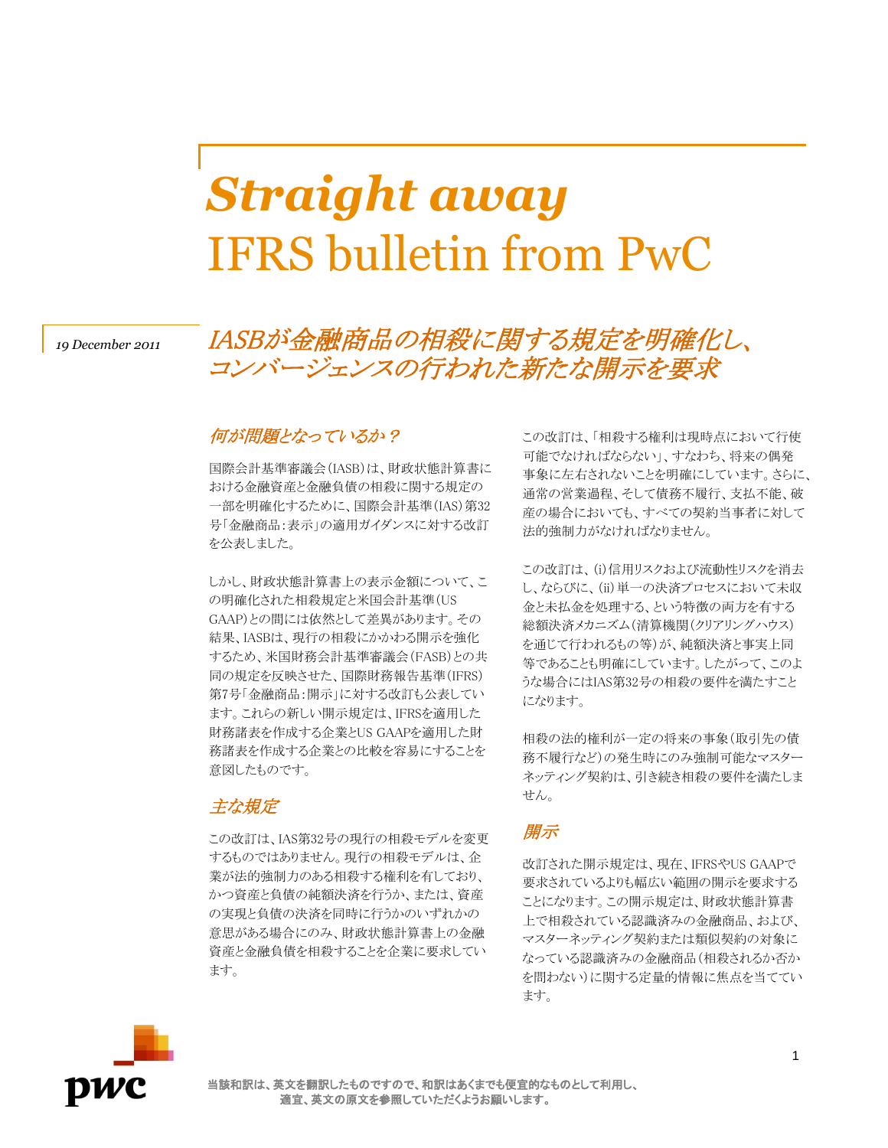# *Straight away* IFRS bulletin from PwC

# *<sup>19</sup> December 2011* IASBが金融商品の相殺に関する規定を明確化し、 コンバージェンスの行われた新たな開示を要求

#### 何が問題となっているか?

国際会計基準審議会(IASB)は、財政状態計算書に おける金融資産と金融負債の相殺に関する規定の 一部を明確化するために、国際会計基準(IAS)第32 号「金融商品:表示」の適用ガイダンスに対する改訂 を公表しました。

しかし、財政状態計算書上の表示金額について、こ の明確化された相殺規定と米国会計基準(US GAAP)との間には依然として差異があります。その 結果、IASBは、現行の相殺にかかわる開示を強化 するため、米国財務会計基準審議会(FASB)との共 同の規定を反映させた、国際財務報告基準(IFRS) 第7号「金融商品:開示」に対する改訂も公表してい ます。これらの新しい開示規定は、IFRSを適用した 財務諸表を作成する企業とUS GAAPを適用した財 務諸表を作成する企業との比較を容易にすることを 意図したものです。

#### 主な規定

この改訂は、IAS第32号の現行の相殺モデルを変更 するものではありません。現行の相殺モデルは、企 業が法的強制力のある相殺する権利を有しており、 かつ資産と負債の純額決済を行うか、または、資産 の実現と負債の決済を同時に行うかのいずれかの 意思がある場合にのみ、財政状態計算書上の金融 資産と金融負債を相殺することを企業に要求してい ます。

この改訂は、「相殺する権利は現時点において行使 可能でなければならない」、すなわち、将来の偶発 事象に左右されないことを明確にしています。さらに、 通常の営業過程、そして債務不履行、支払不能、破 産の場合においても、すべての契約当事者に対して 法的強制力がなければなりません。

この改訂は、(i)信用リスクおよび流動性リスクを消去 し、ならびに、(ii)単一の決済プロセスにおいて未収 金と未払金を処理する、という特徴の両方を有する 総額決済メカニズム(清算機関(クリアリングハウス) を通じて行われるもの等)が、純額決済と事実上同 等であることも明確にしています。したがって、このよ うな場合にはIAS第32号の相殺の要件を満たすこと になります。

相殺の法的権利が一定の将来の事象(取引先の債 務不履行など)の発生時にのみ強制可能なマスター ネッティング契約は、引き続き相殺の要件を満たしま せん。

## 開示

改訂された開示規定は、現在、IFRSやUS GAAPで 要求されているよりも幅広い範囲の開示を要求する ことになります。この開示規定は、財政状態計算書 上で相殺されている認識済みの金融商品、および、 マスターネッティング契約または類似契約の対象に なっている認識済みの金融商品(相殺されるか否か を問わない)に関する定量的情報に焦点を当ててい ます。